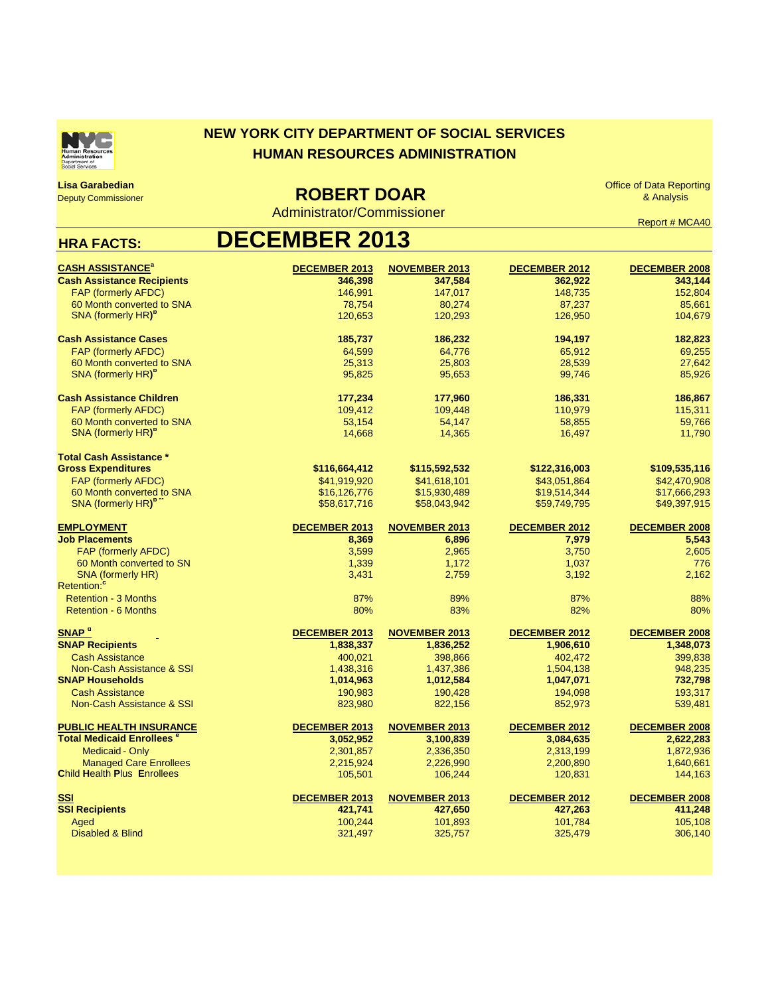

## **NEW YORK CITY DEPARTMENT OF SOCIAL SERVICES HUMAN RESOURCES ADMINISTRATION**

**Lisa Garabedian** Deputy Commissioner

 **ROBERT DOAR**

Administrator/Commissioner

Office of Data Reporting & Analysis

Report # MCA40

## **HRA FACTS: DECEMBER 2013**

| <b>CASH ASSISTANCE<sup>a</sup></b>                  | DECEMBER 2013        | <b>NOVEMBER 2013</b> | <b>DECEMBER 2012</b> | <b>DECEMBER 2008</b> |
|-----------------------------------------------------|----------------------|----------------------|----------------------|----------------------|
| <b>Cash Assistance Recipients</b>                   | 346,398              | 347,584              | 362,922              | 343,144              |
| <b>FAP (formerly AFDC)</b>                          | 146,991              | 147,017              | 148,735              | 152,804              |
| 60 Month converted to SNA                           | 78,754               | 80,274               | 87,237               | 85,661               |
| SNA (formerly HR) <sup>b</sup>                      | 120,653              | 120,293              | 126,950              | 104,679              |
| <b>Cash Assistance Cases</b>                        | 185,737              | 186,232              | 194,197              | 182,823              |
| <b>FAP (formerly AFDC)</b>                          | 64,599               | 64,776               | 65,912               | 69,255               |
| 60 Month converted to SNA                           | 25,313               | 25.803               | 28,539               | 27.642               |
| SNA (formerly HR) <sup>b</sup>                      | 95,825               | 95,653               | 99,746               | 85,926               |
| <b>Cash Assistance Children</b>                     | 177,234              | 177,960              | 186,331              | 186,867              |
| <b>FAP (formerly AFDC)</b>                          | 109,412              | 109,448              | 110,979              | 115,311              |
| 60 Month converted to SNA                           | 53,154               | 54,147               | 58,855               | 59,766               |
| SNA (formerly HR) <sup>p</sup>                      | 14,668               | 14,365               | 16,497               | 11,790               |
| <b>Total Cash Assistance *</b>                      |                      |                      |                      |                      |
| <b>Gross Expenditures</b>                           | \$116,664,412        | \$115,592,532        | \$122,316,003        | \$109,535,116        |
| <b>FAP (formerly AFDC)</b>                          | \$41,919,920         | \$41,618,101         | \$43,051,864         | \$42,470,908         |
| 60 Month converted to SNA                           | \$16,126,776         | \$15,930,489         | \$19,514,344         | \$17,666,293         |
| SNA (formerly HR) <sup>p</sup>                      | \$58,617,716         | \$58,043,942         | \$59,749,795         | \$49,397,915         |
| <b>EMPLOYMENT</b>                                   | <b>DECEMBER 2013</b> | <b>NOVEMBER 2013</b> | <b>DECEMBER 2012</b> | <b>DECEMBER 2008</b> |
| <b>Job Placements</b>                               | 8,369                | 6,896                | 7,979                | 5,543                |
| <b>FAP (formerly AFDC)</b>                          | 3,599                | 2,965                | 3,750                | 2,605                |
| 60 Month converted to SN                            | 1,339                | 1,172                | 1,037                | 776                  |
| <b>SNA (formerly HR)</b><br>Retention: <sup>c</sup> | 3,431                | 2,759                | 3,192                | 2,162                |
| <b>Retention - 3 Months</b>                         | 87%                  | 89%                  | 87%                  | 88%                  |
| <b>Retention - 6 Months</b>                         | 80%                  | 83%                  | 82%                  | 80%                  |
| SNAP <sup>a</sup>                                   | <b>DECEMBER 2013</b> | <b>NOVEMBER 2013</b> | <b>DECEMBER 2012</b> | <b>DECEMBER 2008</b> |
| <b>SNAP Recipients</b>                              | 1,838,337            | 1,836,252            | 1,906,610            | 1,348,073            |
| <b>Cash Assistance</b>                              | 400,021              | 398,866              | 402,472              | 399,838              |
| Non-Cash Assistance & SSI                           | 1,438,316            | 1,437,386            | 1,504,138            | 948,235              |
| <b>SNAP Households</b>                              | 1,014,963            | 1,012,584            | 1,047,071            | 732,798              |
| <b>Cash Assistance</b>                              | 190,983              | 190,428              | 194,098              | 193,317              |
| Non-Cash Assistance & SSI                           | 823,980              | 822,156              | 852,973              | 539,481              |
| <b>PUBLIC HEALTH INSURANCE</b>                      | <b>DECEMBER 2013</b> | <b>NOVEMBER 2013</b> | <b>DECEMBER 2012</b> | <b>DECEMBER 2008</b> |
| <b>Total Medicaid Enrollees<sup>e</sup></b>         | 3,052,952            | 3,100,839            | 3,084,635            | 2,622,283            |
| <b>Medicaid - Only</b>                              | 2,301,857            | 2,336,350            | 2,313,199            | 1,872,936            |
| <b>Managed Care Enrollees</b>                       | 2,215,924            | 2,226,990            | 2,200,890            | 1,640,661            |
| <b>Child Health Plus Enrollees</b>                  | 105,501              | 106,244              | 120,831              | 144,163              |
| <b>SSI</b>                                          | DECEMBER 2013        | <b>NOVEMBER 2013</b> | <b>DECEMBER 2012</b> | <b>DECEMBER 2008</b> |
| <b>SSI Recipients</b>                               | 421.741              | 427,650              | 427,263              | 411,248              |
| Aged                                                | 100,244              | 101,893              | 101,784              | 105,108              |
| <b>Disabled &amp; Blind</b>                         | 321,497              | 325,757              | 325,479              | 306,140              |